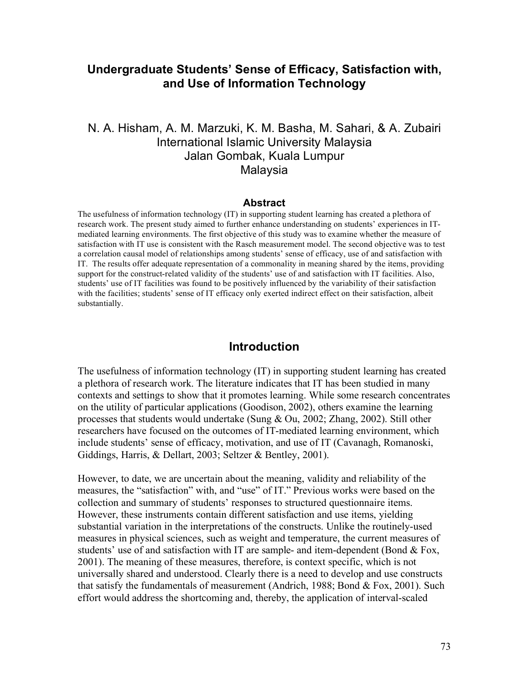# **Undergraduate Students' Sense of Efficacy, Satisfaction with, and Use of Information Technology**

## N. A. Hisham, A. M. Marzuki, K. M. Basha, M. Sahari, & A. Zubairi International Islamic University Malaysia Jalan Gombak, Kuala Lumpur Malaysia

#### **Abstract**

The usefulness of information technology (IT) in supporting student learning has created a plethora of research work. The present study aimed to further enhance understanding on students' experiences in ITmediated learning environments. The first objective of this study was to examine whether the measure of satisfaction with IT use is consistent with the Rasch measurement model. The second objective was to test a correlation causal model of relationships among students' sense of efficacy, use of and satisfaction with IT. The results offer adequate representation of a commonality in meaning shared by the items, providing support for the construct-related validity of the students' use of and satisfaction with IT facilities. Also, students' use of IT facilities was found to be positively influenced by the variability of their satisfaction with the facilities; students' sense of IT efficacy only exerted indirect effect on their satisfaction, albeit substantially.

### **Introduction**

The usefulness of information technology (IT) in supporting student learning has created a plethora of research work. The literature indicates that IT has been studied in many contexts and settings to show that it promotes learning. While some research concentrates on the utility of particular applications (Goodison, 2002), others examine the learning processes that students would undertake (Sung & Ou, 2002; Zhang, 2002). Still other researchers have focused on the outcomes of IT-mediated learning environment, which include students' sense of efficacy, motivation, and use of IT (Cavanagh, Romanoski, Giddings, Harris, & Dellart, 2003; Seltzer & Bentley, 2001).

However, to date, we are uncertain about the meaning, validity and reliability of the measures, the "satisfaction" with, and "use" of IT." Previous works were based on the collection and summary of students' responses to structured questionnaire items. However, these instruments contain different satisfaction and use items, yielding substantial variation in the interpretations of the constructs. Unlike the routinely-used measures in physical sciences, such as weight and temperature, the current measures of students' use of and satisfaction with IT are sample- and item-dependent (Bond & Fox, 2001). The meaning of these measures, therefore, is context specific, which is not universally shared and understood. Clearly there is a need to develop and use constructs that satisfy the fundamentals of measurement (Andrich, 1988; Bond & Fox, 2001). Such effort would address the shortcoming and, thereby, the application of interval-scaled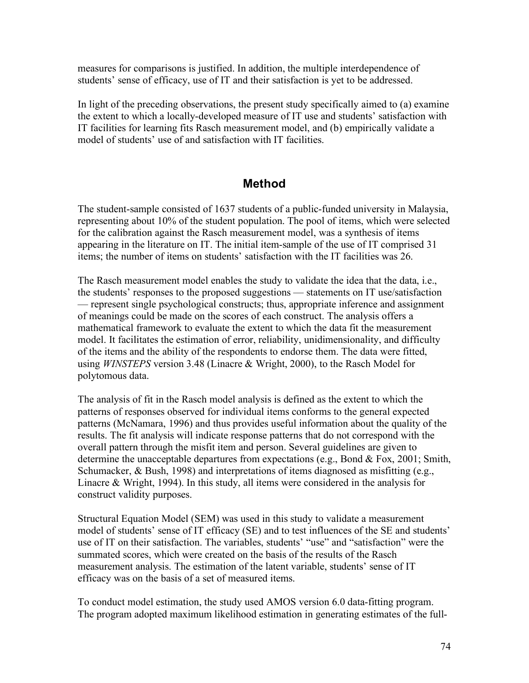measures for comparisons is justified. In addition, the multiple interdependence of students' sense of efficacy, use of IT and their satisfaction is yet to be addressed.

In light of the preceding observations, the present study specifically aimed to (a) examine the extent to which a locally-developed measure of IT use and students' satisfaction with IT facilities for learning fits Rasch measurement model, and (b) empirically validate a model of students' use of and satisfaction with IT facilities.

# **Method**

The student-sample consisted of 1637 students of a public-funded university in Malaysia, representing about 10% of the student population. The pool of items, which were selected for the calibration against the Rasch measurement model, was a synthesis of items appearing in the literature on IT. The initial item-sample of the use of IT comprised 31 items; the number of items on students' satisfaction with the IT facilities was 26.

The Rasch measurement model enables the study to validate the idea that the data, i.e., the students' responses to the proposed suggestions — statements on IT use/satisfaction — represent single psychological constructs; thus, appropriate inference and assignment of meanings could be made on the scores of each construct. The analysis offers a mathematical framework to evaluate the extent to which the data fit the measurement model. It facilitates the estimation of error, reliability, unidimensionality, and difficulty of the items and the ability of the respondents to endorse them. The data were fitted, using *WINSTEPS* version 3.48 (Linacre & Wright, 2000), to the Rasch Model for polytomous data.

The analysis of fit in the Rasch model analysis is defined as the extent to which the patterns of responses observed for individual items conforms to the general expected patterns (McNamara, 1996) and thus provides useful information about the quality of the results. The fit analysis will indicate response patterns that do not correspond with the overall pattern through the misfit item and person. Several guidelines are given to determine the unacceptable departures from expectations (e.g., Bond  $&$  Fox, 2001; Smith, Schumacker, & Bush, 1998) and interpretations of items diagnosed as misfitting (e.g., Linacre & Wright, 1994). In this study, all items were considered in the analysis for construct validity purposes.

Structural Equation Model (SEM) was used in this study to validate a measurement model of students' sense of IT efficacy (SE) and to test influences of the SE and students' use of IT on their satisfaction. The variables, students' "use" and "satisfaction" were the summated scores, which were created on the basis of the results of the Rasch measurement analysis. The estimation of the latent variable, students' sense of IT efficacy was on the basis of a set of measured items.

To conduct model estimation, the study used AMOS version 6.0 data-fitting program. The program adopted maximum likelihood estimation in generating estimates of the full-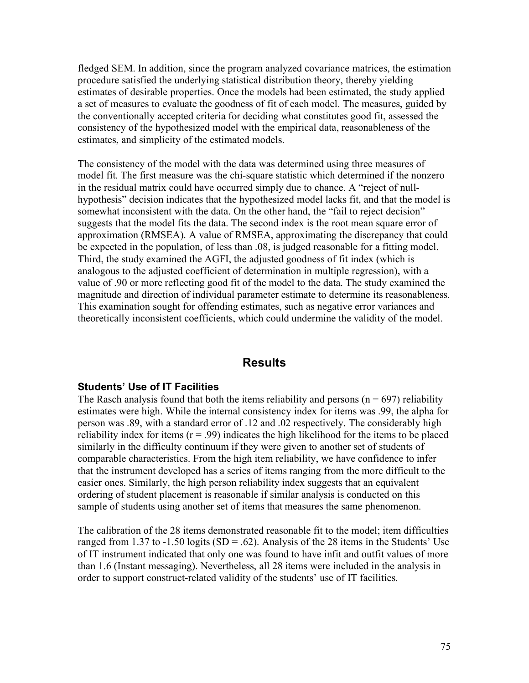fledged SEM. In addition, since the program analyzed covariance matrices, the estimation procedure satisfied the underlying statistical distribution theory, thereby yielding estimates of desirable properties. Once the models had been estimated, the study applied a set of measures to evaluate the goodness of fit of each model. The measures, guided by the conventionally accepted criteria for deciding what constitutes good fit, assessed the consistency of the hypothesized model with the empirical data, reasonableness of the estimates, and simplicity of the estimated models.

The consistency of the model with the data was determined using three measures of model fit. The first measure was the chi-square statistic which determined if the nonzero in the residual matrix could have occurred simply due to chance. A "reject of nullhypothesis" decision indicates that the hypothesized model lacks fit, and that the model is somewhat inconsistent with the data. On the other hand, the "fail to reject decision" suggests that the model fits the data. The second index is the root mean square error of approximation (RMSEA). A value of RMSEA, approximating the discrepancy that could be expected in the population, of less than .08, is judged reasonable for a fitting model. Third, the study examined the AGFI, the adjusted goodness of fit index (which is analogous to the adjusted coefficient of determination in multiple regression), with a value of .90 or more reflecting good fit of the model to the data. The study examined the magnitude and direction of individual parameter estimate to determine its reasonableness. This examination sought for offending estimates, such as negative error variances and theoretically inconsistent coefficients, which could undermine the validity of the model.

## **Results**

### **Students' Use of IT Facilities**

The Rasch analysis found that both the items reliability and persons ( $n = 697$ ) reliability estimates were high. While the internal consistency index for items was .99, the alpha for person was .89, with a standard error of .12 and .02 respectively. The considerably high reliability index for items  $(r = .99)$  indicates the high likelihood for the items to be placed similarly in the difficulty continuum if they were given to another set of students of comparable characteristics. From the high item reliability, we have confidence to infer that the instrument developed has a series of items ranging from the more difficult to the easier ones. Similarly, the high person reliability index suggests that an equivalent ordering of student placement is reasonable if similar analysis is conducted on this sample of students using another set of items that measures the same phenomenon.

The calibration of the 28 items demonstrated reasonable fit to the model; item difficulties ranged from 1.37 to -1.50 logits  $(SD = .62)$ . Analysis of the 28 items in the Students' Use of IT instrument indicated that only one was found to have infit and outfit values of more than 1.6 (Instant messaging). Nevertheless, all 28 items were included in the analysis in order to support construct-related validity of the students' use of IT facilities.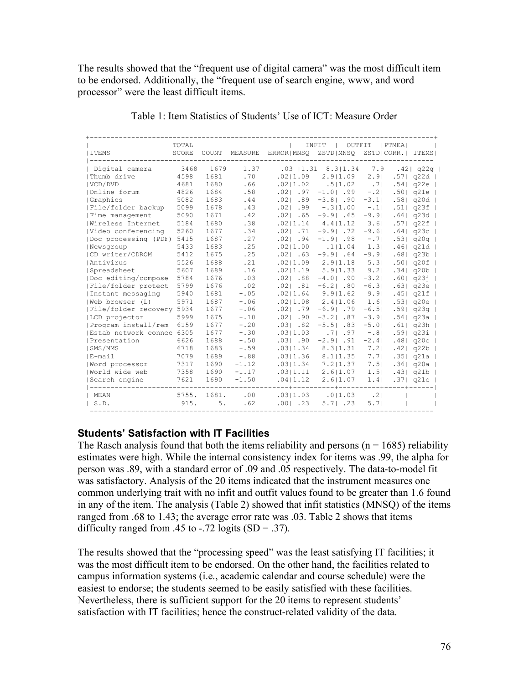The results showed that the "frequent use of digital camera" was the most difficult item to be endorsed. Additionally, the "frequent use of search engine, www, and word processor" were the least difficult items.

| I TEMS                    | TOTAL<br>SCORE | COUNT | MEASURE  | ERROR MNSO ZSTD MNSO | INFIT<br>OUTFIT                        | ZSTD CORR.  ITEMS       | $ $ PTMEA $ $    |              |
|---------------------------|----------------|-------|----------|----------------------|----------------------------------------|-------------------------|------------------|--------------|
| Digital camera            | 3468           | 1679  | 1.37     |                      | .03   1.31 8.3   1.34 7.9   .42   q22g |                         |                  |              |
| Thumb drive               | 4598           | 1681  | .70      | .0211.09             | 2.911.09                               | 2.91                    |                  | $.57$   q22d |
| IVCD/DVD                  | 4681           | 1680  | .66      | .02 1.02             | .5 1.02                                | .7 <sub>1</sub>         |                  | .54 q22e     |
| Online forum              | 4826           | 1684  | .58      | $.021$ .97           | $-1.0$ . 99                            | $- 0.21$                |                  | $.50 $ q21e  |
| Graphics                  | 5082           | 1683  | .44      | $.021$ $.89$         | $-3.8$ 90                              | $-3.1$                  |                  | .58 q20d     |
| File/folder backup        | 5099           | 1678  | .43      | $.021$ .99           | $-.311.00$                             | $-11$                   |                  | .51   q23f   |
| Fime management           | 5090           | 1671  | .42      | $.021$ $.65$         | $-9.9$ . 65                            | $-9.9$                  |                  | .66 q23d     |
| Wireless Internet         | 5184           | 1680  | .38      |                      | $.02 1.14$ 4.4   1.12                  | $3.6$                   |                  | .57 q22f     |
| Video conferencing        | 5260           | 1677  | .34      |                      | $.02$   $.71$ -9.9   $.72$             | $-9.6$                  |                  | .64 q23c     |
| Doc processing (PDF) 5415 |                | 1687  | .27      | $.02$   .94          | $-1.9$ . 98                            | $-71$                   |                  | .53 q20q     |
| Newsgroup                 | 5433           | 1683  | .25      | .0211.00             | .111.04                                | $1.3$                   |                  | .46 q21d     |
| CD writer/CDROM           | 5412           | 1675  | .25      | $.021$ $.63$         | $-9.9$ . 64                            | $-9.9$                  |                  | $.68$   q23b |
| <b>Antivirus</b>          | 5526           | 1688  | .21      |                      | $.02 1.09$ 2.9 $ 1.18$                 | 5.3                     | .501             | q20f         |
| Spreadsheet               | 5607           | 1689  | .16      | .02 1.19             | 5.9 1.33                               | 9.21                    | .34 <sub>1</sub> | q20b         |
| Doc editing/compose       | 5784           | 1676  | .03      | $.02$   .88          | $-4.0$ . 90                            | $-3.2$                  | .60 <sub>1</sub> | q23j         |
| File/folder protect       | 5799           | 1676  | .02      | $.021$ $.81$         | $-6.2$ .80                             | $-6.3$                  | .63 <sub>1</sub> | $q23e$       |
| Instant messaging         | 5940           | 1681  | $-.05$   |                      | $.0211.64$ 9.911.62                    | 9.9                     |                  | .45 q21f     |
| (Web browser (L)          | 5971           | 1687  | $-.06$   | .02 1.08             | 2.411.06                               | $1.6$                   |                  | .53 q20e     |
| File/folder recovery 5934 |                | 1677  | $-.06$   | $.021$ $.79$         | $-6.9$ . 79                            | $-6.5$                  |                  | $.59$   q23q |
| LCD projector             | 5999           | 1675  | $-.10$   | $.02$   .90          | $-3.2$ . 87                            | $-3.9$                  |                  | .56 q23a     |
| Program install/rem       | 6159           | 1677  | $-.20$   | .031 .82             | $-5.5$ . 83                            | $-5.0$                  |                  | .61   q23h   |
| Estab network connec 6305 |                | 1677  | $-.30$   | .03 1.03             | .71.97                                 | $-0.8$                  |                  | .59 q23i     |
| Presentation              | 6626           | 1688  | $- 0.50$ | .031.90              | $-2.9$ . $91$                          | $-2.4$                  |                  | $.48$   q20c |
| SMS/MMS                   | 6718           | 1683  | $-.59$   | .03 1.34             | 8.3 1.31                               | $7.2$                   |                  | $.42$   q22b |
| E-mail                    | 7079           | 1689  | $-.88$   | .03 1.36             | 8.111.35                               | 7.7                     |                  | .35 q21a     |
| Word processor            | 7317           | 1690  | $-1.12$  | .03 1.34             | 7.211.37                               | 7.5                     |                  | .36 q20a     |
| World wide web            | 7358           | 1690  | $-1.17$  | .03 1.11             | 2.6 1.07                               | $1.5$                   |                  | .43  q21b    |
| Search engine             | 7621           | 1690  | $-1.50$  | .04 1.12             | 2.611.07<br>---------+                 | 1.4<br>---------+----+- |                  | .37  q21c    |
| MEAN                      | 5755.          | 1681. | .00      |                      | $.03 1.03$ . 0   1.03                  | .2 <sub>1</sub>         |                  |              |
| S.D.                      | 915.           | 5.    | .62      | $.001$ .23           | 5.71.23                                | 5.71                    |                  |              |

Table 1: Item Statistics of Students' Use of ICT: Measure Order

### **Students' Satisfaction with IT Facilities**

The Rasch analysis found that both the items reliability and persons ( $n = 1685$ ) reliability estimates were high. While the internal consistency index for items was .99, the alpha for person was .89, with a standard error of .09 and .05 respectively. The data-to-model fit was satisfactory. Analysis of the 20 items indicated that the instrument measures one common underlying trait with no infit and outfit values found to be greater than 1.6 found in any of the item. The analysis (Table 2) showed that infit statistics (MNSQ) of the items ranged from .68 to 1.43; the average error rate was .03. Table 2 shows that items difficulty ranged from .45 to  $-0.72$  logits (SD = .37).

The results showed that the "processing speed" was the least satisfying IT facilities; it was the most difficult item to be endorsed. On the other hand, the facilities related to campus information systems (i.e., academic calendar and course schedule) were the easiest to endorse; the students seemed to be easily satisfied with these facilities. Nevertheless, there is sufficient support for the 20 items to represent students' satisfaction with IT facilities; hence the construct-related validity of the data.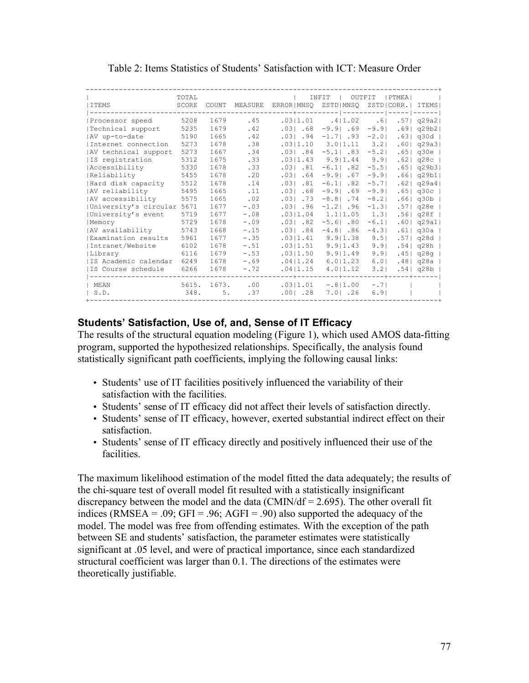|                            | TOTAL |       |        |                    | INFIT<br>OUTFIT        |          | <b>IPTMEAI</b> |                   |
|----------------------------|-------|-------|--------|--------------------|------------------------|----------|----------------|-------------------|
| ITEMS                      | SCORE | COUNT |        | MEASURE ERROR MNSO | ZSTD MNSO              |          |                | ZSTD CORR.  ITEMS |
|                            |       |       |        | -----              | --------               | $-- 1$   |                | ----- ------      |
| Processor speed            | 5208  | 1679  | .45    | .03 1.01           | .4 1.02                | .61      |                | $.57$   q29a2     |
| Technical support          | 5235  | 1679  | .42    | .031.68            | $-9.9$ . 69            | $-9.9$   |                | $.69$   q29b2     |
| AV up-to-date              | 5190  | 1665  | .42    | $.031$ $.94$       | $-1.7$ $-93$ $-2.0$    |          |                | .63 q30d          |
| Internet connection        | 5273  | 1678  | .38    |                    | $.03 1.10$ 3.0 $ 1.11$ | $3.2$    |                | .60 q29a3         |
| AV technical support       | 5273  | 1667  | .34    | $.031$ $.84$       | $-5.1$ $.83$ $-5.2$    |          |                | .65 q30e          |
| IS registration            | 5312  | 1675  | .33    | .03 1.43           | 9.9 1.44               | 9.91     |                | $.62 $ q28c       |
| Accessibility              | 5330  | 1678  | .33    | $.031$ $.81$       | $-6.1$ . 82            | $-5.5$   |                | .65 q29b3         |
| Reliability                | 5455  | 1678  | .20    | $.031$ . 64        | $-9.9$ . 67            | $-9.9$   |                | .66 q29b1         |
| Hard disk capacity         | 5512  | 1678  | .14    | $.031$ $.81$       | $-6.1$ .82             | $-5.7$   |                | .62   q29a4       |
| AV reliability             | 5495  | 1665  | .11    | .031.68            | $-9.9$ . 69            | $-9.9$   |                | $.65 $ q30c $ $   |
| AV accessibility           | 5575  | 1665  | .02    | $.031$ .73         | $-8.8$ 74              | $-8.21$  |                | .66 q30b          |
| University's circular 5671 |       | 1677  | $-.03$ | .031.96            | $-1.2$ . 96            | $-1.3$   |                | .57 q28e          |
| University's event         | 5719  | 1677  | $-.08$ | .0311.04           | 1.111.05               | 1.31     |                | .56 q28f          |
| Memory                     | 5729  | 1678  | $-.09$ | $.031$ $.82$       | $-5.6$ $.80$           | $-6.1$   |                | .60   q29a1       |
| AV availability            | 5743  | 1668  | $-.15$ | $.031$ .84         | $-4.8$ . 86            | $-4.3$   |                | .61 q30a          |
| Examination results        | 5961  | 1677  | $-.35$ | .0311.41           | 9.9 1.38               | 9.51     |                | $.57$   q28d      |
| Intranet/Website           | 6102  | 1678  | $-.51$ | .03 1.51           | 9.91.43                | 9.91     |                | .54 q28h          |
| Library                    | 6116  | 1679  | $-.53$ | .0311.50           | 9.91.49                | $9.9$    |                | .45 q28q          |
| IS Academic calendar       | 6249  | 1678  | $-.69$ | .0411.24           | 6.011.23               | 6.01     |                | $.481$ q28a       |
| IS Course schedule         | 6266  | 1678  | $-.72$ | .0411.15           | 4.011.12               | $3.2$    |                | .54  q28b         |
|                            |       |       |        |                    | --------+---------+-   |          |                |                   |
| MEAN                       | 5615. | 1673. | .00    | .03 1.01           | $-.8 1.00$             | $- 0.71$ |                |                   |
| S.D.                       | 348.  | 5.    | .37    | $.001$ . 28        | 7.01.26                | 6.91     |                |                   |
|                            |       |       |        |                    |                        |          |                |                   |

Table 2: Items Statistics of Students' Satisfaction with ICT: Measure Order

### **Students' Satisfaction, Use of, and, Sense of IT Efficacy**

The results of the structural equation modeling (Figure 1), which used AMOS data-fitting program, supported the hypothesized relationships. Specifically, the analysis found statistically significant path coefficients, implying the following causal links:

- Students' use of IT facilities positively influenced the variability of their satisfaction with the facilities.
- Students' sense of IT efficacy did not affect their levels of satisfaction directly.
- Students' sense of IT efficacy, however, exerted substantial indirect effect on their satisfaction.
- Students' sense of IT efficacy directly and positively influenced their use of the facilities.

The maximum likelihood estimation of the model fitted the data adequately; the results of the chi-square test of overall model fit resulted with a statistically insignificant discrepancy between the model and the data (CMIN/df =  $2.695$ ). The other overall fit indices (RMSEA = .09; GFI = .96; AGFI = .90) also supported the adequacy of the model. The model was free from offending estimates. With the exception of the path between SE and students' satisfaction, the parameter estimates were statistically significant at .05 level, and were of practical importance, since each standardized structural coefficient was larger than 0.1. The directions of the estimates were theoretically justifiable.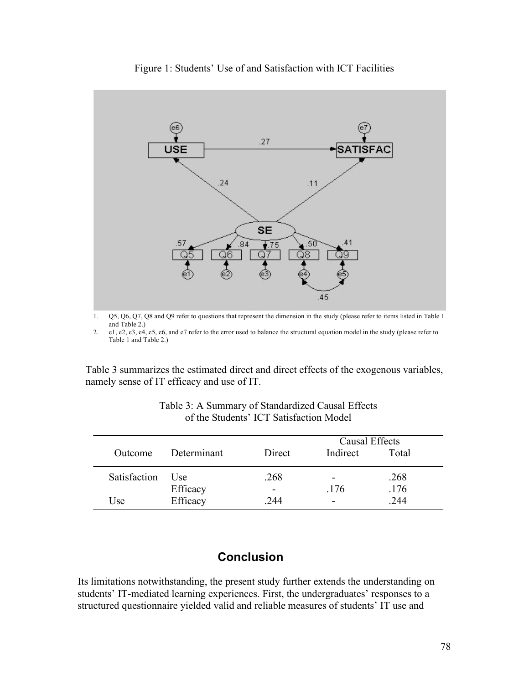

Figure 1: Students' Use of and Satisfaction with ICT Facilities

1. Q5, Q6, Q7, Q8 and Q9 refer to questions that represent the dimension in the study (please refer to items listed in Table 1 and Table 2.)

2. e1, e2, e3, e4, e5, e6, and e7 refer to the error used to balance the structural equation model in the study (please refer to Table 1 and Table 2.)

Table 3 summarizes the estimated direct and direct effects of the exogenous variables, namely sense of IT efficacy and use of IT.

|              |             |        | Causal Effects |       |  |  |
|--------------|-------------|--------|----------------|-------|--|--|
| Outcome      | Determinant | Direct | Indirect       | Total |  |  |
| Satisfaction | Use         | .268   |                | .268  |  |  |
|              | Efficacy    |        | .176           | .176  |  |  |
| Use          | Efficacy    | .244   | -              | .244  |  |  |

| Table 3: A Summary of Standardized Causal Effects |
|---------------------------------------------------|
| of the Students' ICT Satisfaction Model           |

# **Conclusion**

Its limitations notwithstanding, the present study further extends the understanding on students' IT-mediated learning experiences. First, the undergraduates' responses to a structured questionnaire yielded valid and reliable measures of students' IT use and